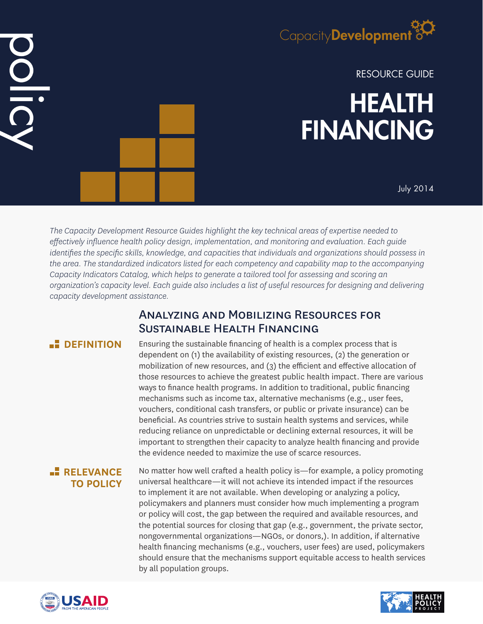

RESOURCE GUIDE

# HEALTH FINANCING

July 2014

*The Capacity Development Resource Guides highlight the key technical areas of expertise needed to effectively influence health policy design, implementation, and monitoring and evaluation. Each guide identifies the specific skills, knowledge, and capacities that individuals and organizations should possess in the area. The standardized indicators listed for each competency and capability map to the accompanying Capacity Indicators Catalog, which helps to generate a tailored tool for assessing and scoring an organization's capacity level. Each guide also includes a list of useful resources for designing and delivering capacity development assistance.*

# Analyzing and Mobilizing Resources for Sustainable Health Financing

# **B** DEFINITION

DOIIC

Ensuring the sustainable financing of health is a complex process that is dependent on (1) the availability of existing resources, (2) the generation or mobilization of new resources, and (3) the efficient and effective allocation of those resources to achieve the greatest public health impact. There are various ways to finance health programs. In addition to traditional, public financing mechanisms such as income tax, alternative mechanisms (e.g., user fees, vouchers, conditional cash transfers, or public or private insurance) can be beneficial. As countries strive to sustain health systems and services, while reducing reliance on unpredictable or declining external resources, it will be important to strengthen their capacity to analyze health financing and provide the evidence needed to maximize the use of scarce resources.

# **RELEVANCE TO POLICY**

No matter how well crafted a health policy is—for example, a policy promoting universal healthcare—it will not achieve its intended impact if the resources to implement it are not available. When developing or analyzing a policy, policymakers and planners must consider how much implementing a program or policy will cost, the gap between the required and available resources, and the potential sources for closing that gap (e.g., government, the private sector, nongovernmental organizations—NGOs, or donors,). In addition, if alternative health financing mechanisms (e.g., vouchers, user fees) are used, policymakers should ensure that the mechanisms support equitable access to health services by all population groups.



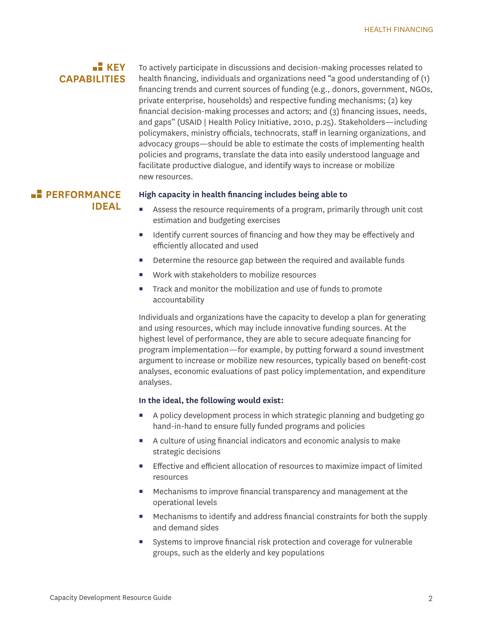# **KEY CAPABILITIES**

To actively participate in discussions and decision-making processes related to health financing, individuals and organizations need "a good understanding of (1) financing trends and current sources of funding (e.g., donors, government, NGOs, private enterprise, households) and respective funding mechanisms; (2) key financial decision-making processes and actors; and (3) financing issues, needs, and gaps" (USAID | Health Policy Initiative, 2010, p.25). Stakeholders—including policymakers, ministry officials, technocrats, staff in learning organizations, and advocacy groups—should be able to estimate the costs of implementing health policies and programs, translate the data into easily understood language and facilitate productive dialogue, and identify ways to increase or mobilize new resources.

# **PERFORMANCE IDEAL**

#### **High capacity in health financing includes being able to**

- Assess the resource requirements of a program, primarily through unit cost estimation and budgeting exercises
- $\blacksquare$  Identify current sources of financing and how they may be effectively and efficiently allocated and used
- Determine the resource gap between the required and available funds
- Work with stakeholders to mobilize resources
- Track and monitor the mobilization and use of funds to promote accountability

Individuals and organizations have the capacity to develop a plan for generating and using resources, which may include innovative funding sources. At the highest level of performance, they are able to secure adequate financing for program implementation—for example, by putting forward a sound investment argument to increase or mobilize new resources, typically based on benefit-cost analyses, economic evaluations of past policy implementation, and expenditure analyses.

#### **In the ideal, the following would exist:**

- A policy development process in which strategic planning and budgeting go hand-in-hand to ensure fully funded programs and policies
- A culture of using financial indicators and economic analysis to make strategic decisions
- Effective and efficient allocation of resources to maximize impact of limited resources
- Mechanisms to improve financial transparency and management at the operational levels
- Mechanisms to identify and address financial constraints for both the supply and demand sides
- Systems to improve financial risk protection and coverage for vulnerable groups, such as the elderly and key populations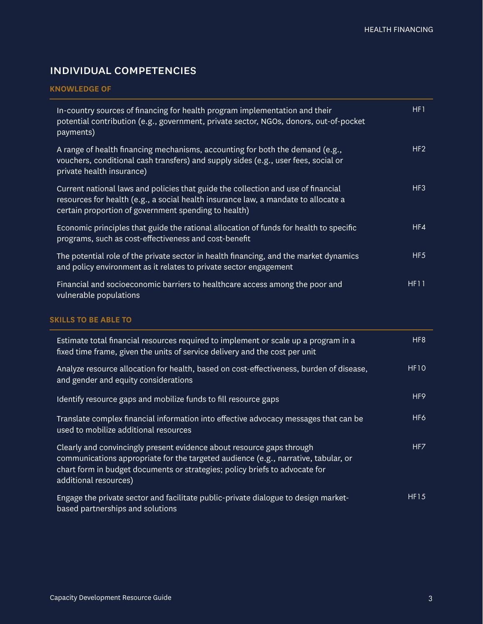# individual competencies

#### **KNOWLEDGE OF**

| In-country sources of financing for health program implementation and their<br>potential contribution (e.g., government, private sector, NGOs, donors, out-of-pocket<br>payments)                                               | HF1             |
|---------------------------------------------------------------------------------------------------------------------------------------------------------------------------------------------------------------------------------|-----------------|
| A range of health financing mechanisms, accounting for both the demand (e.g.,<br>vouchers, conditional cash transfers) and supply sides (e.g., user fees, social or<br>private health insurance)                                | HF <sub>2</sub> |
| Current national laws and policies that guide the collection and use of financial<br>resources for health (e.g., a social health insurance law, a mandate to allocate a<br>certain proportion of government spending to health) | HF <sub>3</sub> |
| Economic principles that guide the rational allocation of funds for health to specific<br>programs, such as cost-effectiveness and cost-benefit                                                                                 | HF4             |
| The potential role of the private sector in health financing, and the market dynamics<br>and policy environment as it relates to private sector engagement                                                                      | HF <sub>5</sub> |
| Financial and socioeconomic barriers to healthcare access among the poor and<br>vulnerable populations                                                                                                                          | <b>HF11</b>     |
| <b>SKILLS TO BE ABLE TO</b>                                                                                                                                                                                                     |                 |
| Estimate total financial resources required to implement or scale up a program in a<br>fixed time frame, given the units of service delivery and the cost per unit                                                              | HF <sub>8</sub> |

| Analyze resource allocation for health, based on cost-effectiveness, burden of disease,<br>and gender and equity considerations | HF <sub>10</sub> |
|---------------------------------------------------------------------------------------------------------------------------------|------------------|
| ldentify resource gaps and mobilize funds to fill resource gaps                                                                 | HF9              |

Translate complex financial information into effective advocacy messages that can be used to mobilize additional resources HF6 Clearly and convincingly present evidence about resource gaps through communications appropriate for the targeted audience (e.g., narrative, tabular, or chart form in budget documents or strategies; policy briefs to advocate for additional resources) HF7

Engage the private sector and facilitate public-private dialogue to design marketbased partnerships and solutions HF15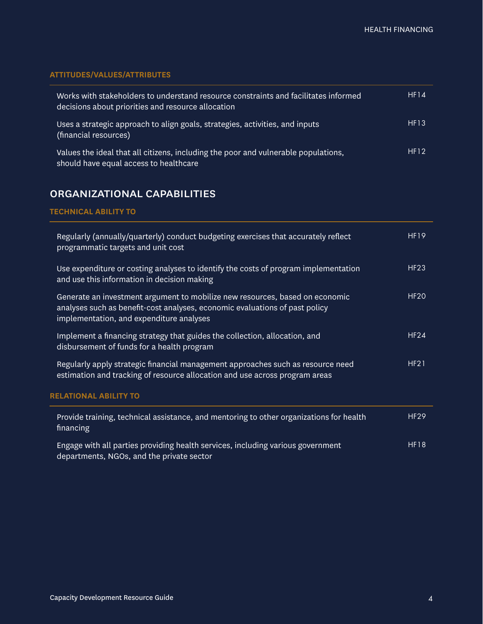# **ATTITUDES/VALUES/ATTRIBUTES**

| Works with stakeholders to understand resource constraints and facilitates informed<br>decisions about priorities and resource allocation | HF14 |
|-------------------------------------------------------------------------------------------------------------------------------------------|------|
| Uses a strategic approach to align goals, strategies, activities, and inputs<br>(financial resources)                                     | HF13 |
| Values the ideal that all citizens, including the poor and vulnerable populations,<br>should have equal access to healthcare              | HF12 |

# organizational capabilities

### **TECHNICAL ABILITY TO**

| Regularly (annually/quarterly) conduct budgeting exercises that accurately reflect<br>programmatic targets and unit cost                                                                                | <b>HF19</b> |
|---------------------------------------------------------------------------------------------------------------------------------------------------------------------------------------------------------|-------------|
| Use expenditure or costing analyses to identify the costs of program implementation<br>and use this information in decision making                                                                      | <b>HF23</b> |
| Generate an investment argument to mobilize new resources, based on economic<br>analyses such as benefit-cost analyses, economic evaluations of past policy<br>implementation, and expenditure analyses | <b>HF20</b> |
| Implement a financing strategy that guides the collection, allocation, and<br>disbursement of funds for a health program                                                                                | <b>HF24</b> |
| Regularly apply strategic financial management approaches such as resource need<br>estimation and tracking of resource allocation and use across program areas                                          | <b>HF21</b> |
| <b>RELATIONAL ABILITY TO</b>                                                                                                                                                                            |             |
| Provide training, technical assistance, and mentoring to other organizations for health<br>financing                                                                                                    | <b>HF29</b> |
| Engage with all parties providing health services, including various government<br>departments, NGOs, and the private sector                                                                            | <b>HF18</b> |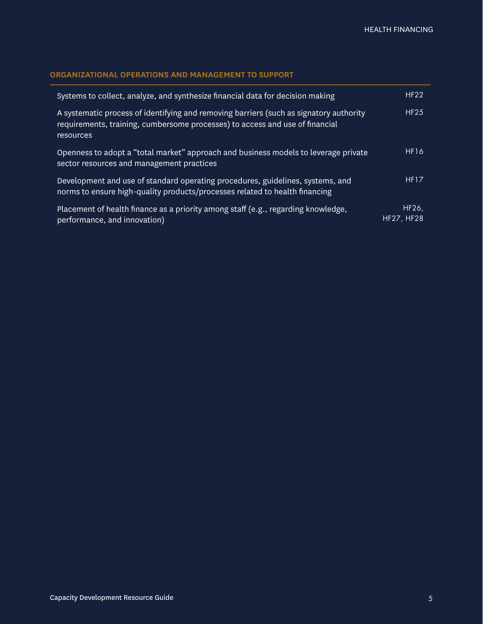## **ORGANIZATIONAL OPERATIONS AND MANAGEMENT TO SUPPORT**

| Systems to collect, analyze, and synthesize financial data for decision making                                                                                                      | <b>HF22</b>         |
|-------------------------------------------------------------------------------------------------------------------------------------------------------------------------------------|---------------------|
| A systematic process of identifying and removing barriers (such as signatory authority<br>requirements, training, cumbersome processes) to access and use of financial<br>resources | HF25                |
| Openness to adopt a "total market" approach and business models to leverage private<br>sector resources and management practices                                                    | <b>HF16</b>         |
| Development and use of standard operating procedures, guidelines, systems, and<br>norms to ensure high-quality products/processes related to health financing                       | <b>HF17</b>         |
| Placement of health finance as a priority among staff (e.g., regarding knowledge,<br>performance, and innovation)                                                                   | HF26,<br>HF27, HF28 |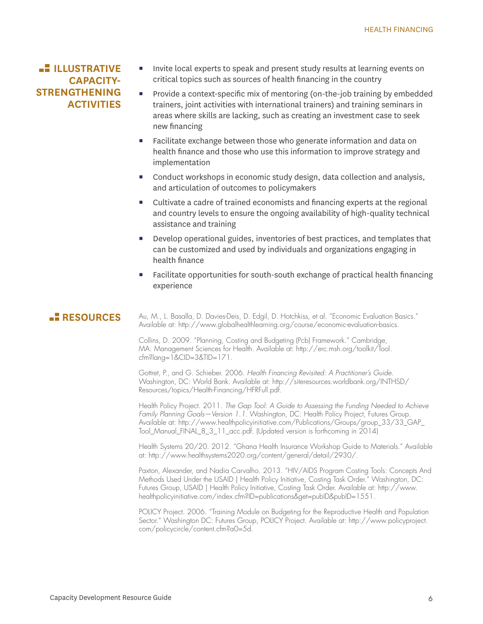# **ILLUSTRATIVE CAPACITY-STRENGTHENING ACTIVITIES**

- Invite local experts to speak and present study results at learning events on critical topics such as sources of health financing in the country
- Provide a context-specific mix of mentoring (on-the-job training by embedded trainers, joint activities with international trainers) and training seminars in areas where skills are lacking, such as creating an investment case to seek new financing
- Facilitate exchange between those who generate information and data on health finance and those who use this information to improve strategy and implementation
- Conduct workshops in economic study design, data collection and analysis, and articulation of outcomes to policymakers
- Cultivate a cadre of trained economists and financing experts at the regional and country levels to ensure the ongoing availability of high-quality technical assistance and training
- **Develop operational guides, inventories of best practices, and templates that** can be customized and used by individuals and organizations engaging in health finance
- Facilitate opportunities for south-south exchange of practical health financing experience

**RESOURCES** Au, M., L. Basalla, D. Davies-Deis, D. Edgil, D. Hotchkiss, et al. "Economic Evaluation Basics." Available at: http://www.globalhealthlearning.org/course/economic-evaluation-basics.

> Collins, D. 2009. "Planning, Costing and Budgeting (Pcb) Framework." Cambridge, MA: Management Sciences for Health. Available at: http://erc.msh.org/toolkit/Tool. cfm?lang=1&CID=3&TID=171.

Gottret, P., and G. Schieber. 2006. *Health Financing Revisited: A Practitioner's Guide*. Washington, DC: World Bank. Available at: http://siteresources.worldbank.org/INTHSD/ Resources/topics/Health-Financing/HFRFull.pdf.

Health Policy Project. 2011. *The Gap Tool: A Guide to Assessing the Funding Needed to Achieve Family Planning Goals—Version 1.1*. Washington, DC: Health Policy Project, Futures Group. Available at: http://www.healthpolicyinitiative.com/Publications/Groups/group\_33/33\_GAP\_ Tool\_Manual\_FINAL\_8\_3\_11\_acc.pdf. (Updated version is forthcoming in 2014)

Health Systems 20/20. 2012. "Ghana Health Insurance Workshop Guide to Materials." Available at: http://www.healthsystems2020.org/content/general/detail/2930/.

Paxton, Alexander, and Nadia Carvalho. 2013. "HIV/AIDS Program Costing Tools: Concepts And Methods Used Under the USAID | Health Policy Initiative, Costing Task Order." Washington, DC: Futures Group, USAID | Health Policy Initiative, Costing Task Order. Available at: http://www. healthpolicyinitiative.com/index.cfm?ID=publications&get=pubID&pubID=1551.

POLICY Project. 2006. "Training Module on Budgeting for the Reproductive Health and Population Sector." Washington DC: Futures Group, POLICY Project. Available at: http://www.policyproject. com/policycircle/content.cfm?a0=5d.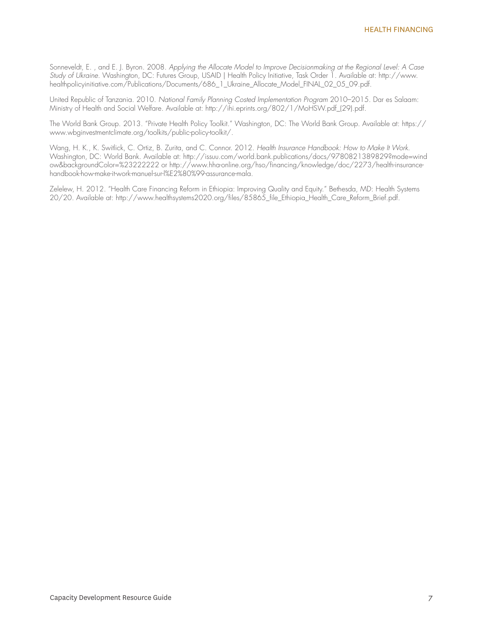Sonneveldt, E. , and E. J. Byron. 2008. *Applying the Allocate Model to Improve Decisionmaking at the Regional Level: A Case Study of Ukraine*. Washington, DC: Futures Group, USAID | Health Policy Initiative, Task Order 1. Available at: http://www. healthpolicyinitiative.com/Publications/Documents/686\_1\_Ukraine\_Allocate\_Model\_FINAL\_02\_05\_09.pdf.

United Republic of Tanzania. 2010. *National Family Planning Costed Implementation Program* 2010–2015. Dar es Salaam: Ministry of Health and Social Welfare. Available at: http://ihi.eprints.org/802/1/MoHSW.pdf\_(29).pdf.

The World Bank Group. 2013. "Private Health Policy Toolkit." Washington, DC: The World Bank Group. Available at: https:// www.wbginvestmentclimate.org/toolkits/public-policy-toolkit/.

Wang, H. K., K. Switlick, C. Ortiz, B. Zurita, and C. Connor. 2012. *Health Insurance Handbook: How to Make It Work*. Washington, DC: World Bank. Available at: http://issuu.com/world.bank.publications/docs/9780821389829?mode=wind ow&backgroundColor=%23222222 or http://www.hha-online.org/hso/financing/knowledge/doc/2273/health-insurancehandbook-how-make-it-work-manuel-sur-l%E2%80%99-assurance-mala.

Zelelew, H. 2012. "Health Care Financing Reform in Ethiopia: Improving Quality and Equity." Bethesda, MD: Health Systems 20/20. Available at: http://www.healthsystems2020.org/files/85865\_file\_Ethiopia\_Health\_Care\_Reform\_Brief.pdf.